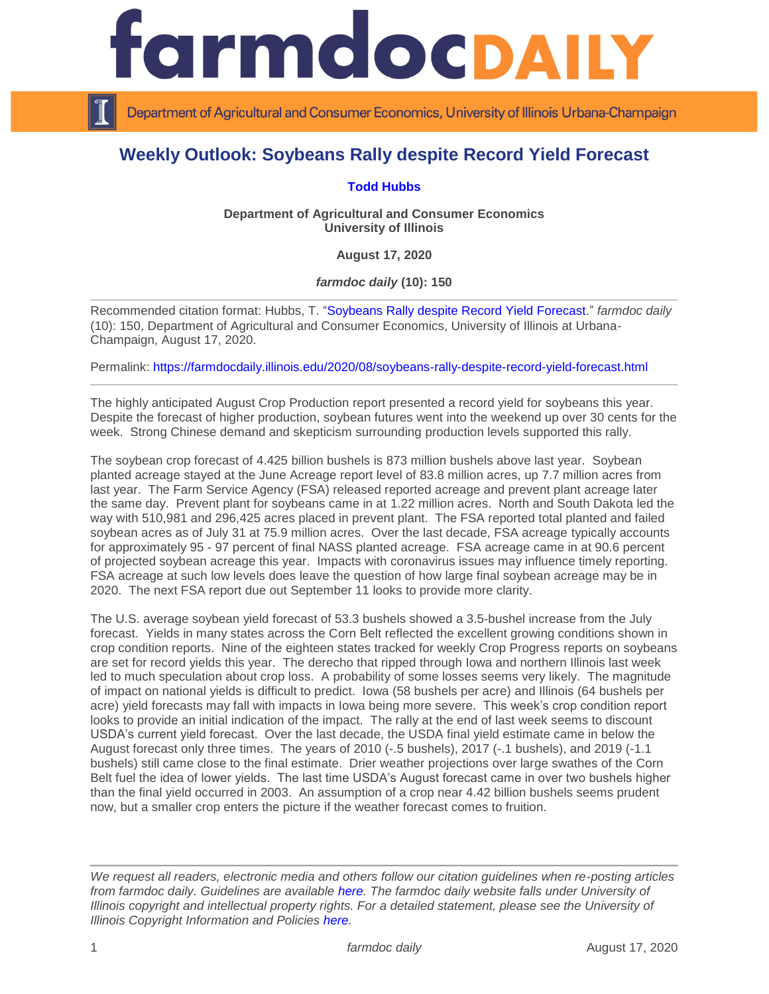

Department of Agricultural and Consumer Economics, University of Illinois Urbana-Champaign

## **Weekly Outlook: Soybeans Rally despite Record Yield Forecast**

## **[Todd Hubbs](https://ace.illinois.edu/directory/jhubbs3)**

**Department of Agricultural and Consumer Economics University of Illinois**

**August 17, 2020**

*farmdoc daily* **(10): 150**

Recommended citation format: Hubbs, T. ["Soybeans Rally despite Record Yield Forecast.](https://farmdocdaily.illinois.edu/2020/08/soybeans-rally-despite-record-yield-forecast.html)" *farmdoc daily*  (10): 150, Department of Agricultural and Consumer Economics, University of Illinois at Urbana-Champaign, August 17, 2020.

Permalink:<https://farmdocdaily.illinois.edu/2020/08/soybeans-rally-despite-record-yield-forecast.html>

The highly anticipated August Crop Production report presented a record yield for soybeans this year. Despite the forecast of higher production, soybean futures went into the weekend up over 30 cents for the week. Strong Chinese demand and skepticism surrounding production levels supported this rally.

The soybean crop forecast of 4.425 billion bushels is 873 million bushels above last year. Soybean planted acreage stayed at the June Acreage report level of 83.8 million acres, up 7.7 million acres from last year. The Farm Service Agency (FSA) released reported acreage and prevent plant acreage later the same day. Prevent plant for soybeans came in at 1.22 million acres. North and South Dakota led the way with 510,981 and 296,425 acres placed in prevent plant. The FSA reported total planted and failed soybean acres as of July 31 at 75.9 million acres. Over the last decade, FSA acreage typically accounts for approximately 95 - 97 percent of final NASS planted acreage. FSA acreage came in at 90.6 percent of projected soybean acreage this year. Impacts with coronavirus issues may influence timely reporting. FSA acreage at such low levels does leave the question of how large final soybean acreage may be in 2020. The next FSA report due out September 11 looks to provide more clarity.

The U.S. average soybean yield forecast of 53.3 bushels showed a 3.5-bushel increase from the July forecast. Yields in many states across the Corn Belt reflected the excellent growing conditions shown in crop condition reports. Nine of the eighteen states tracked for weekly Crop Progress reports on soybeans are set for record yields this year. The derecho that ripped through Iowa and northern Illinois last week led to much speculation about crop loss. A probability of some losses seems very likely. The magnitude of impact on national yields is difficult to predict. Iowa (58 bushels per acre) and Illinois (64 bushels per acre) yield forecasts may fall with impacts in Iowa being more severe. This week's crop condition report looks to provide an initial indication of the impact. The rally at the end of last week seems to discount USDA's current yield forecast. Over the last decade, the USDA final yield estimate came in below the August forecast only three times. The years of 2010 (-.5 bushels), 2017 (-.1 bushels), and 2019 (-1.1 bushels) still came close to the final estimate. Drier weather projections over large swathes of the Corn Belt fuel the idea of lower yields. The last time USDA's August forecast came in over two bushels higher than the final yield occurred in 2003. An assumption of a crop near 4.42 billion bushels seems prudent now, but a smaller crop enters the picture if the weather forecast comes to fruition.

*We request all readers, electronic media and others follow our citation guidelines when re-posting articles from farmdoc daily. Guidelines are available [here.](http://farmdocdaily.illinois.edu/citationguide.html) The farmdoc daily website falls under University of Illinois copyright and intellectual property rights. For a detailed statement, please see the University of Illinois Copyright Information and Policies [here.](http://www.cio.illinois.edu/policies/copyright/)*